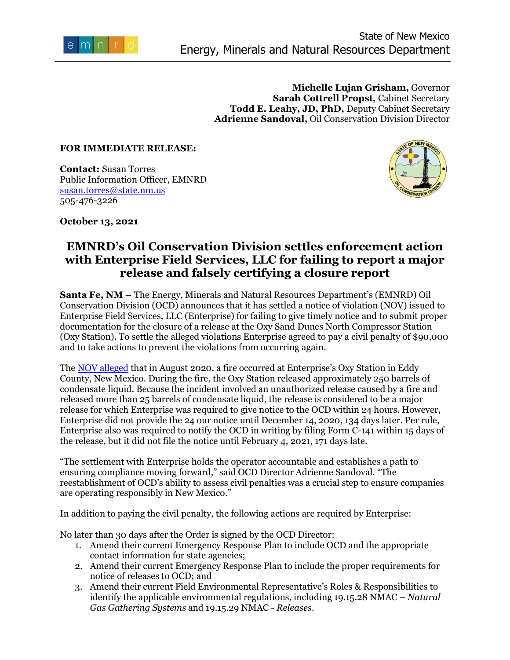

**Michelle Lujan Grisham,** Governor **Sarah Cottrell Propst,** Cabinet Secretary **Todd E. Leahy, JD, PhD,** Deputy Cabinet Secretary **Adrienne Sandoval,** Oil Conservation Division Director

## **FOR IMMEDIATE RELEASE:**

**Contact:** Susan Torres Public Information Officer, EMNRD [susan.torres@state.nm.us](mailto:susan.torres@state.nm.us) 505-476-3226



**October 13, 2021** 

## **EMNRD's Oil Conservation Division settles enforcement action with Enterprise Field Services, LLC for failing to report a major release and falsely certifying a closure report**

**Santa Fe, NM –** The Energy, Minerals and Natural Resources Department's (EMNRD) Oil Conservation Division (OCD) announces that it has settled a notice of violation (NOV) issued to Enterprise Field Services, LLC (Enterprise) for failing to give timely notice and to submit proper documentation for the closure of a release at the Oxy Sand Dunes North Compressor Station (Oxy Station). To settle the alleged violations Enterprise agreed to pay a civil penalty of \$90,000 and to take actions to prevent the violations from occurring again.

The [NOV alleged](https://www.emnrd.nm.gov/officeofsecretary/wp-content/uploads/sites/2/EnterprisePressRelease061421.pdf) that in August 2020, a fire occurred at Enterprise's Oxy Station in Eddy County, New Mexico. During the fire, the Oxy Station released approximately 250 barrels of condensate liquid. Because the incident involved an unauthorized release caused by a fire and released more than 25 barrels of condensate liquid, the release is considered to be a major release for which Enterprise was required to give notice to the OCD within 24 hours. However, Enterprise did not provide the 24 our notice until December 14, 2020, 134 days later. Per rule, Enterprise also was required to notify the OCD in writing by filing Form C-141 within 15 days of the release, but it did not file the notice until February 4, 2021, 171 days late.

"The settlement with Enterprise holds the operator accountable and establishes a path to ensuring compliance moving forward," said OCD Director Adrienne Sandoval. "The reestablishment of OCD's ability to assess civil penalties was a crucial step to ensure companies are operating responsibly in New Mexico."

In addition to paying the civil penalty, the following actions are required by Enterprise:

No later than 30 days after the Order is signed by the OCD Director:

- 1. Amend their current Emergency Response Plan to include OCD and the appropriate contact information for state agencies;
- 2. Amend their current Emergency Response Plan to include the proper requirements for notice of releases to OCD; and
- 3. Amend their current Field Environmental Representative's Roles & Responsibilities to identify the applicable environmental regulations, including 19.15.28 NMAC – *Natural Gas Gathering Systems* and 19.15.29 NMAC - *Releases*.